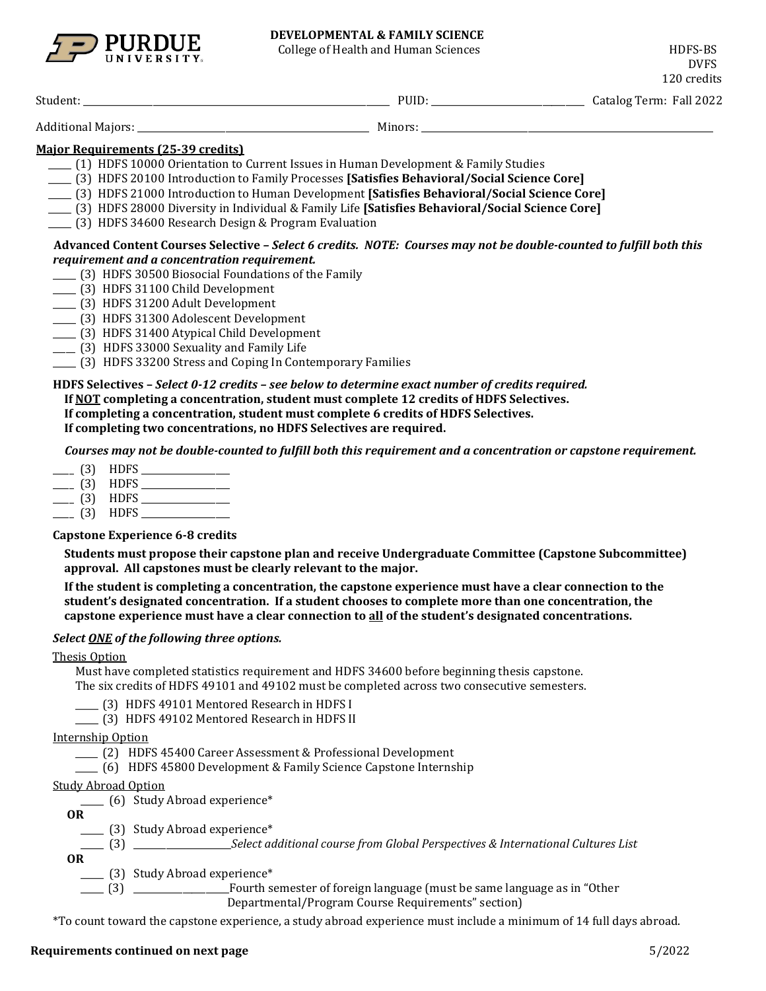

College of Health and Human Sciences **HDFS-BS** 

DVFS 120 credits

| Student:                  | $\overline{U}$ <sub>DUI</sub> | Catalog Term: Fall 2022 |
|---------------------------|-------------------------------|-------------------------|
| <b>Additional Majors:</b> | Minors                        |                         |

## **Major Requirements (25-39 credits)**

- \_\_\_\_\_ (1) HDFS 10000 Orientation to Current Issues in Human Development & Family Studies
- \_\_\_\_\_ (3) HDFS 20100 Introduction to Family Processes **[Satisfies Behavioral/Social Science Core]**
- \_\_\_\_\_ (3) HDFS 21000 Introduction to Human Development **[Satisfies Behavioral/Social Science Core]**
- \_\_\_\_\_ (3) HDFS 28000 Diversity in Individual & Family Life **[Satisfies Behavioral/Social Science Core]**
- \_\_\_\_\_ (3) HDFS 34600 Research Design & Program Evaluation

## **Advanced Content Courses Selective** *– Select 6 credits. NOTE: Courses may not be double-counted to fulfill both this requirement and a concentration requirement.*

- \_\_\_\_\_ (3) HDFS 30500 Biosocial Foundations of the Family
- \_\_\_\_\_ (3) HDFS 31100 Child Development
- \_\_\_\_\_ (3) HDFS 31200 Adult Development
- \_\_\_\_\_ (3) HDFS 31300 Adolescent Development
- \_\_\_\_\_ (3) HDFS 31400 Atypical Child Development
- \_\_\_\_\_ (3) HDFS 33000 Sexuality and Family Life
- \_\_\_\_\_ (3) HDFS 33200 Stress and Coping In Contemporary Families

## **HDFS Selectives –** *Select 0-12 credits – see below to determine exact number of credits required.*

**If NOT completing a concentration, student must complete 12 credits of HDFS Selectives.**

**If completing a concentration, student must complete 6 credits of HDFS Selectives.** 

## **If completing two concentrations, no HDFS Selectives are required.**

*Courses may not be double-counted to fulfill both this requirement and a concentration or capstone requirement.*

- $(3)$  HDFS
- \_\_\_\_\_ (3) HDFS \_\_\_\_\_\_\_\_\_\_\_\_\_\_\_\_\_\_\_
- \_\_\_\_\_ (3) HDFS \_\_\_\_\_\_\_\_\_\_\_\_\_\_\_\_\_\_\_
- \_\_\_\_\_ (3) HDFS \_\_\_\_\_\_\_\_\_\_\_\_\_\_\_\_\_\_\_

## **Capstone Experience 6-8 credits**

**Students must propose their capstone plan and receive Undergraduate Committee (Capstone Subcommittee) approval. All capstones must be clearly relevant to the major.** 

**If the student is completing a concentration, the capstone experience must have a clear connection to the student's designated concentration. If a student chooses to complete more than one concentration, the capstone experience must have a clear connection to all of the student's designated concentrations.**

## *Select ONE of the following three options.*

## Thesis Option

Must have completed statistics requirement and HDFS 34600 before beginning thesis capstone.

The six credits of HDFS 49101 and 49102 must be completed across two consecutive semesters.

- \_\_\_\_\_ (3) HDFS 49101 Mentored Research in HDFS I
- \_\_\_\_\_ (3) HDFS 49102 Mentored Research in HDFS II

Internship Option

- \_\_\_\_\_ (2) HDFS 45400 Career Assessment & Professional Development
- \_\_\_\_\_ (6) HDFS 45800 Development & Family Science Capstone Internship

Study Abroad Option

\_\_\_\_\_ (6) Study Abroad experience\* **OR**

\_\_\_\_\_ (3) Study Abroad experience\*

\_\_\_\_\_ (3) \_\_\_\_\_\_\_\_\_\_\_\_\_\_\_\_\_\_\_\_\_*Select additional course from Global Perspectives & International Cultures List*

**OR**

\_\_\_\_\_ (3) Study Abroad experience\*

\_\_\_\_\_ (3) \_\_\_\_\_\_\_\_\_\_\_\_\_\_\_\_\_\_\_\_\_Fourth semester of foreign language (must be same language as in "Other Departmental/Program Course Requirements" section)

\*To count toward the capstone experience, a study abroad experience must include a minimum of 14 full days abroad.

## **Requirements continued on next page** 5/2022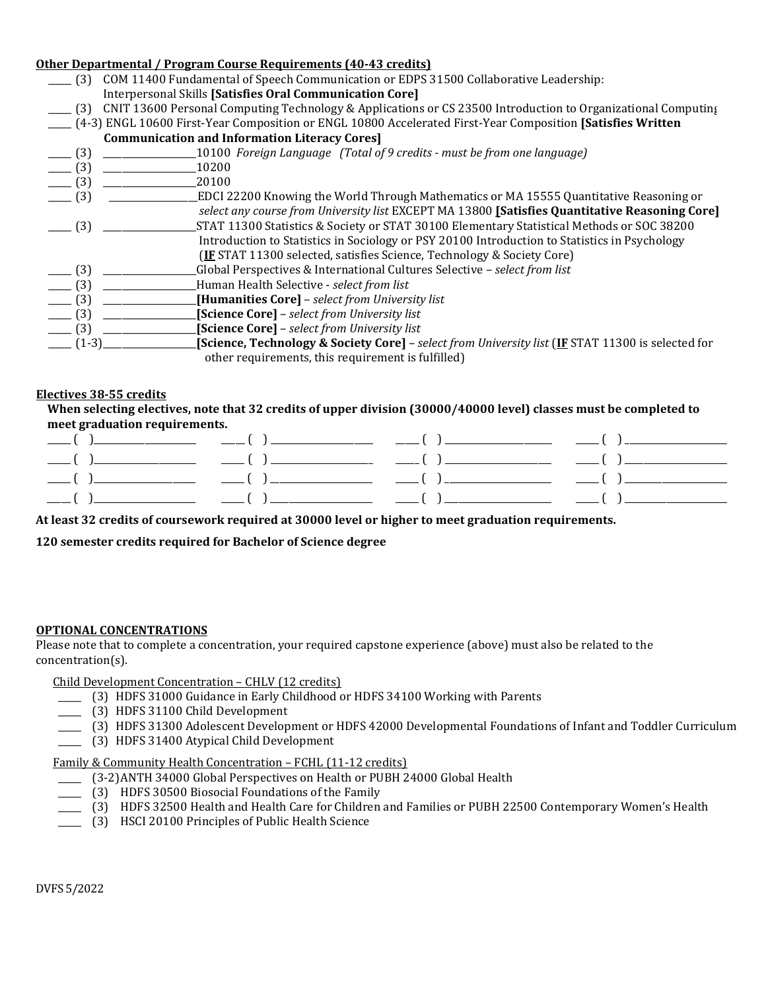## **Other Departmental / Program Course Requirements (40-43 credits)**

| <u> ulti bepai tinentai / 1 rogram course Requirements   ro-rs-ereults  </u>                                            |
|-------------------------------------------------------------------------------------------------------------------------|
| COM 11400 Fundamental of Speech Communication or EDPS 31500 Collaborative Leadership:<br>(3)                            |
| <b>Interpersonal Skills [Satisfies Oral Communication Core]</b>                                                         |
| CNIT 13600 Personal Computing Technology & Applications or CS 23500 Introduction to Organizational Computing<br>(3)     |
| (4-3) ENGL 10600 First-Year Composition or ENGL 10800 Accelerated First-Year Composition [Satisfies Written             |
| <b>Communication and Information Literacy Cores]</b>                                                                    |
| 10100 Foreign Language (Total of 9 credits - must be from one language)<br>(3)                                          |
| (3)<br>10200                                                                                                            |
| $- (3)$<br>20100                                                                                                        |
| $- (3)$<br>EDCI 22200 Knowing the World Through Mathematics or MA 15555 Quantitative Reasoning or                       |
| select any course from University list EXCEPT MA 13800 [Satisfies Quantitative Reasoning Core]                          |
| STAT 11300 Statistics & Society or STAT 30100 Elementary Statistical Methods or SOC 38200<br>(3)                        |
| Introduction to Statistics in Sociology or PSY 20100 Introduction to Statistics in Psychology                           |
| (IF STAT 11300 selected, satisfies Science, Technology & Society Core)                                                  |
| Global Perspectives & International Cultures Selective - select from list<br>(3)                                        |
| $- (3)$<br>Human Health Selective - select from list                                                                    |
| (3)<br>[Humanities Core] - select from University list                                                                  |
| [Science Core] - select from University list<br>(3)                                                                     |
| [Science Core] - select from University list<br>(3)                                                                     |
| $(1-3)$<br><b>[Science, Technology &amp; Society Core]</b> - select from University list (IF STAT 11300 is selected for |
| other requirements, this requirement is fulfilled)                                                                      |

## **Electives 38-55 credits**

**When selecting electives, note that 32 credits of upper division (30000/40000 level) classes must be completed to meet graduation requirements.**

**At least 32 credits of coursework required at 30000 level or higher to meet graduation requirements.**

**120 semester credits required for Bachelor of Science degree**

## **OPTIONAL CONCENTRATIONS**

Please note that to complete a concentration, your required capstone experience (above) must also be related to the concentration(s).

Child Development Concentration – CHLV (12 credits)

- \_\_\_\_\_ (3) HDFS 31000 Guidance in Early Childhood or HDFS 34100 Working with Parents
- \_\_\_\_\_ (3) HDFS 31100 Child Development
- \_\_\_\_\_ (3) HDFS 31300 Adolescent Development or HDFS 42000 Developmental Foundations of Infant and Toddler Curriculum
- \_\_\_\_\_ (3) HDFS 31400 Atypical Child Development

## Family & Community Health Concentration – FCHL (11-12 credits)

- \_\_\_\_\_ (3-2)ANTH 34000 Global Perspectives on Health or PUBH 24000 Global Health
- \_\_\_\_\_ (3) HDFS 30500 Biosocial Foundations of the Family
- \_\_\_\_\_ (3) HDFS 32500 Health and Health Care for Children and Families or PUBH 22500 Contemporary Women's Health
- \_\_\_\_\_ (3) HSCI 20100 Principles of Public Health Science

DVFS 5/2022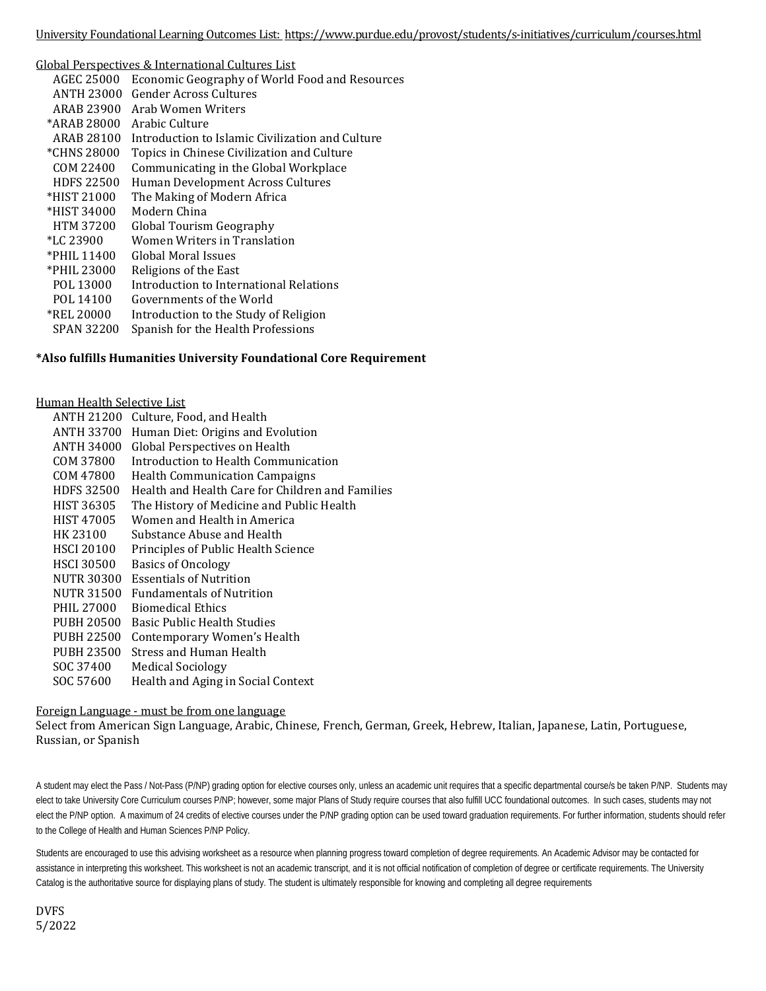University Foundational Learning Outcomes List:<https://www.purdue.edu/provost/students/s-initiatives/curriculum/courses.html>

|                   | <u>Global Perspectives &amp; International Cultures List</u> |
|-------------------|--------------------------------------------------------------|
| AGEC 25000        | Economic Geography of World Food and Resources               |
| <b>ANTH 23000</b> | <b>Gender Across Cultures</b>                                |
| ARAB 23900        | Arab Women Writers                                           |
| *ARAB 28000       | Arabic Culture                                               |
| ARAB 28100        | Introduction to Islamic Civilization and Culture             |
| *CHNS 28000       | Topics in Chinese Civilization and Culture                   |
| COM 22400         | Communicating in the Global Workplace                        |
| <b>HDFS 22500</b> | Human Development Across Cultures                            |
| *HIST 21000       | The Making of Modern Africa                                  |
| *HIST 34000       | Modern China                                                 |
| HTM 37200         | Global Tourism Geography                                     |
| *LC 23900         | Women Writers in Translation                                 |
| *PHIL 11400       | Global Moral Issues                                          |
| *PHIL 23000       | Religions of the East                                        |
| POL 13000         | Introduction to International Relations                      |
| POL 14100         | Governments of the World                                     |
| *REL 20000        | Introduction to the Study of Religion                        |
| SPAN 32200        | Spanish for the Health Professions                           |

## **\*Also fulfills Humanities University Foundational Core Requirement**

| Hum <u>an Health Selective List</u> |                                                  |
|-------------------------------------|--------------------------------------------------|
| <b>ANTH 21200</b>                   | Culture, Food, and Health                        |
| ANTH 33700                          | Human Diet: Origins and Evolution                |
| ANTH 34000                          | Global Perspectives on Health                    |
| COM 37800                           | Introduction to Health Communication             |
| COM 47800                           | <b>Health Communication Campaigns</b>            |
| <b>HDFS 32500</b>                   | Health and Health Care for Children and Families |
| HIST 36305                          | The History of Medicine and Public Health        |
| <b>HIST 47005</b>                   | Women and Health in America                      |
| HK 23100                            | Substance Abuse and Health                       |
| <b>HSCI 20100</b>                   | Principles of Public Health Science              |
| <b>HSCI 30500</b>                   | <b>Basics of Oncology</b>                        |
| <b>NUTR 30300</b>                   | <b>Essentials of Nutrition</b>                   |
| <b>NUTR 31500</b>                   | <b>Fundamentals of Nutrition</b>                 |
| <b>PHIL 27000</b>                   | Biomedical Ethics                                |
| PUBH 20500                          | <b>Basic Public Health Studies</b>               |
| <b>PUBH 22500</b>                   | Contemporary Women's Health                      |
| <b>PUBH 23500</b>                   | <b>Stress and Human Health</b>                   |
| SOC 37400                           | Medical Sociology                                |
| SOC 57600                           | Health and Aging in Social Context               |

#### Foreign Language - must be from one language

Select from American Sign Language, Arabic, Chinese, French, German, Greek, Hebrew, Italian, Japanese, Latin, Portuguese, Russian, or Spanish

A student may elect the Pass / Not-Pass (P/NP) grading option for elective courses only, unless an academic unit requires that a specific departmental course/s be taken P/NP. Students may elect to take University Core Curriculum courses P/NP; however, some major Plans of Study require courses that also fulfill UCC foundational outcomes. In such cases, students may not elect the P/NP option. A maximum of 24 credits of elective courses under the P/NP grading option can be used toward graduation requirements. For further information, students should refer to the College of Health and Human Sciences P/NP Policy.

Students are encouraged to use this advising worksheet as a resource when planning progress toward completion of degree requirements. An Academic Advisor may be contacted for assistance in interpreting this worksheet. This worksheet is not an academic transcript, and it is not official notification of completion of degree or certificate requirements. The University Catalog is the authoritative source for displaying plans of study. The student is ultimately responsible for knowing and completing all degree requirements